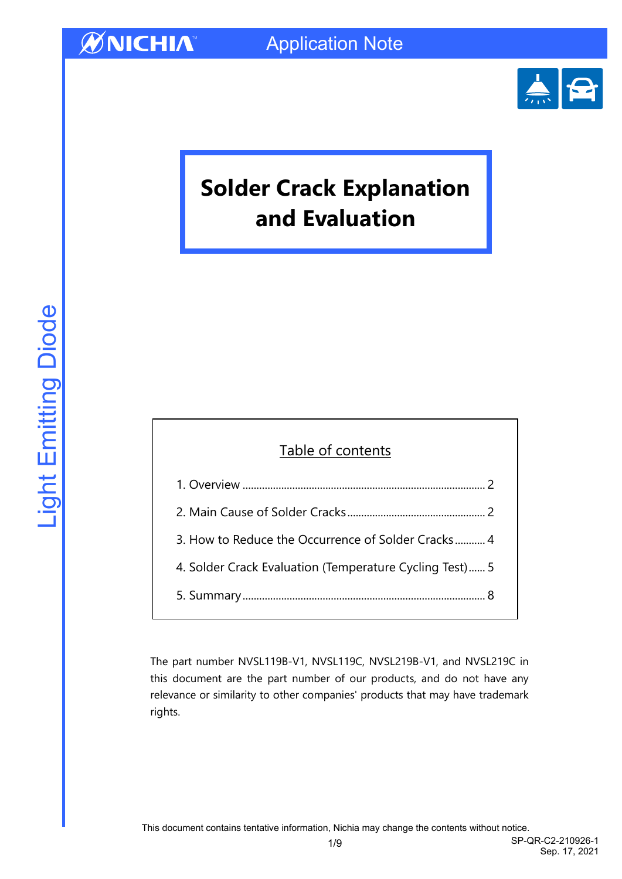

Sep. 17, 2021

# **Solder Crack Explanation and Evaluation**

### Table of contents

| 3. How to Reduce the Occurrence of Solder Cracks 4      |  |
|---------------------------------------------------------|--|
| 4. Solder Crack Evaluation (Temperature Cycling Test) 5 |  |
|                                                         |  |
|                                                         |  |

The part number NVSL119B-V1, NVSL119C, NVSL219B-V1, and NVSL219C in this document are the part number of our products, and do not have any relevance or similarity to other companies' products that may have trademark rights.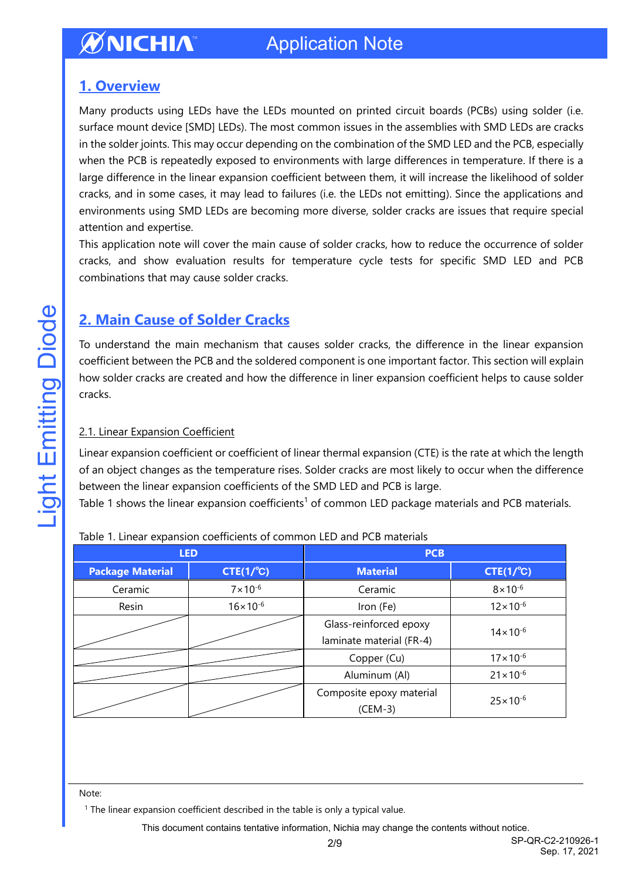### <span id="page-1-0"></span>**1. Overview**

Many products using LEDs have the LEDs mounted on printed circuit boards (PCBs) using solder (i.e. surface mount device [SMD] LEDs). The most common issues in the assemblies with SMD LEDs are cracks in the solder joints. This may occur depending on the combination of the SMD LED and the PCB, especially when the PCB is repeatedly exposed to environments with large differences in temperature. If there is a large difference in the linear expansion coefficient between them, it will increase the likelihood of solder cracks, and in some cases, it may lead to failures (i.e. the LEDs not emitting). Since the applications and environments using SMD LEDs are becoming more diverse, solder cracks are issues that require special attention and expertise.

This application note will cover the main cause of solder cracks, how to reduce the occurrence of solder cracks, and show evaluation results for temperature cycle tests for specific SMD LED and PCB combinations that may cause solder cracks.

### <span id="page-1-1"></span>**2. Main Cause of Solder Cracks**

To understand the main mechanism that causes solder cracks, the difference in the linear expansion coefficient between the PCB and the soldered component is one important factor. This section will explain how solder cracks are created and how the difference in liner expansion coefficient helps to cause solder cracks.

#### 2.1. Linear Expansion Coefficient

Linear expansion coefficient or coefficient of linear thermal expansion (CTE) is the rate at which the length of an object changes as the temperature rises. Solder cracks are most likely to occur when the difference between the linear expansion coefficients of the SMD LED and PCB is large.

Table 1 shows the linear expansion coefficients<sup>1</sup> of common LED package materials and PCB materials.

|                         | <b>LED</b>          | <b>PCB</b>               |                     |  |  |  |
|-------------------------|---------------------|--------------------------|---------------------|--|--|--|
| <b>Package Material</b> | $CTE(1/^{\circ}C)$  | <b>Material</b>          | $CTE(1/^{\circ}C)$  |  |  |  |
| Ceramic                 | $7 \times 10^{-6}$  | Ceramic                  | $8 \times 10^{-6}$  |  |  |  |
| Resin                   | $16 \times 10^{-6}$ | Iron (Fe)                | $12 \times 10^{-6}$ |  |  |  |
|                         |                     | Glass-reinforced epoxy   | $14 \times 10^{-6}$ |  |  |  |
|                         |                     | laminate material (FR-4) |                     |  |  |  |
|                         |                     | Copper (Cu)              | $17 \times 10^{-6}$ |  |  |  |
|                         |                     | Aluminum (Al)            | $21 \times 10^{-6}$ |  |  |  |
|                         |                     | Composite epoxy material | $25 \times 10^{-6}$ |  |  |  |
|                         |                     | $(CEM-3)$                |                     |  |  |  |

#### Table 1. Linear expansion coefficients of common LED and PCB materials

#### Note:

 $1$  The linear expansion coefficient described in the table is only a typical value.

This document contains tentative information, Nichia may change the contents without notice.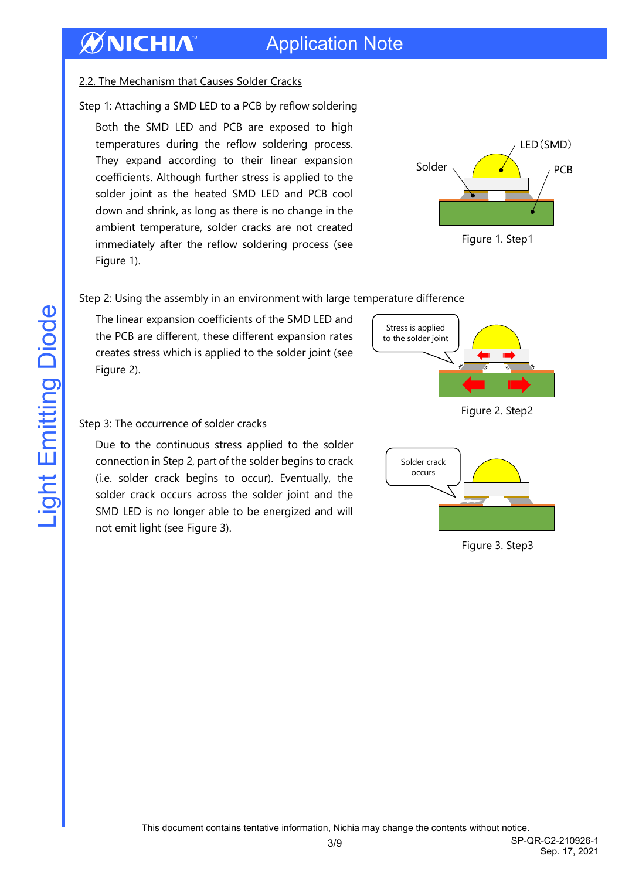## Application Note

#### 2.2. The Mechanism that Causes Solder Cracks

Step 1: Attaching a SMD LED to a PCB by reflow soldering

Both the SMD LED and PCB are exposed to high temperatures during the reflow soldering process. They expand according to their linear expansion coefficients. Although further stress is applied to the solder joint as the heated SMD LED and PCB cool down and shrink, as long as there is no change in the ambient temperature, solder cracks are not created immediately after the reflow soldering process (see Figure 1).



Figure 1. Step1

#### Step 2: Using the assembly in an environment with large temperature difference

The linear expansion coefficients of the SMD LED and the PCB are different, these different expansion rates creates stress which is applied to the solder joint (see Figure 2).



Figure 2. Step2

#### Step 3: The occurrence of solder cracks

Due to the continuous stress applied to the solder connection in Step 2, part of the solder begins to crack (i.e. solder crack begins to occur). Eventually, the solder crack occurs across the solder joint and the SMD LED is no longer able to be energized and will not emit light (see Figure 3).



Figure 3. Step3

This document contains tentative information, Nichia may change the contents without notice.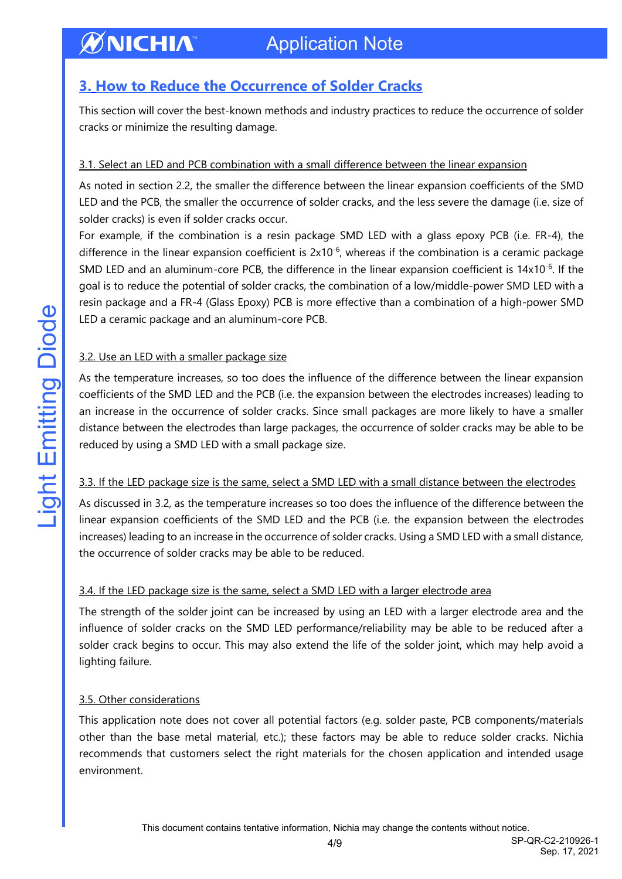### <span id="page-3-0"></span>**3. How to Reduce the Occurrence of Solder Cracks**

This section will cover the best-known methods and industry practices to reduce the occurrence of solder cracks or minimize the resulting damage.

#### 3.1. Select an LED and PCB combination with a small difference between the linear expansion

As noted in section 2.2, the smaller the difference between the linear expansion coefficients of the SMD LED and the PCB, the smaller the occurrence of solder cracks, and the less severe the damage (i.e. size of solder cracks) is even if solder cracks occur.

For example, if the combination is a resin package SMD LED with a glass epoxy PCB (i.e. FR-4), the difference in the linear expansion coefficient is  $2x10^{-6}$ , whereas if the combination is a ceramic package SMD LED and an aluminum-core PCB, the difference in the linear expansion coefficient is 14x10<sup>-6</sup>. If the goal is to reduce the potential of solder cracks, the combination of a low/middle-power SMD LED with a resin package and a FR-4 (Glass Epoxy) PCB is more effective than a combination of a high-power SMD LED a ceramic package and an aluminum-core PCB.

#### 3.2. Use an LED with a smaller package size

As the temperature increases, so too does the influence of the difference between the linear expansion coefficients of the SMD LED and the PCB (i.e. the expansion between the electrodes increases) leading to an increase in the occurrence of solder cracks. Since small packages are more likely to have a smaller distance between the electrodes than large packages, the occurrence of solder cracks may be able to be reduced by using a SMD LED with a small package size.

#### 3.3. If the LED package size is the same, select a SMD LED with a small distance between the electrodes

As discussed in 3.2, as the temperature increases so too does the influence of the difference between the linear expansion coefficients of the SMD LED and the PCB (i.e. the expansion between the electrodes increases) leading to an increase in the occurrence of solder cracks. Using a SMD LED with a small distance, the occurrence of solder cracks may be able to be reduced.

#### 3.4. If the LED package size is the same, select a SMD LED with a larger electrode area

The strength of the solder joint can be increased by using an LED with a larger electrode area and the influence of solder cracks on the SMD LED performance/reliability may be able to be reduced after a solder crack begins to occur. This may also extend the life of the solder joint, which may help avoid a lighting failure.

#### 3.5. Other considerations

This application note does not cover all potential factors (e.g. solder paste, PCB components/materials other than the base metal material, etc.); these factors may be able to reduce solder cracks. Nichia recommends that customers select the right materials for the chosen application and intended usage environment.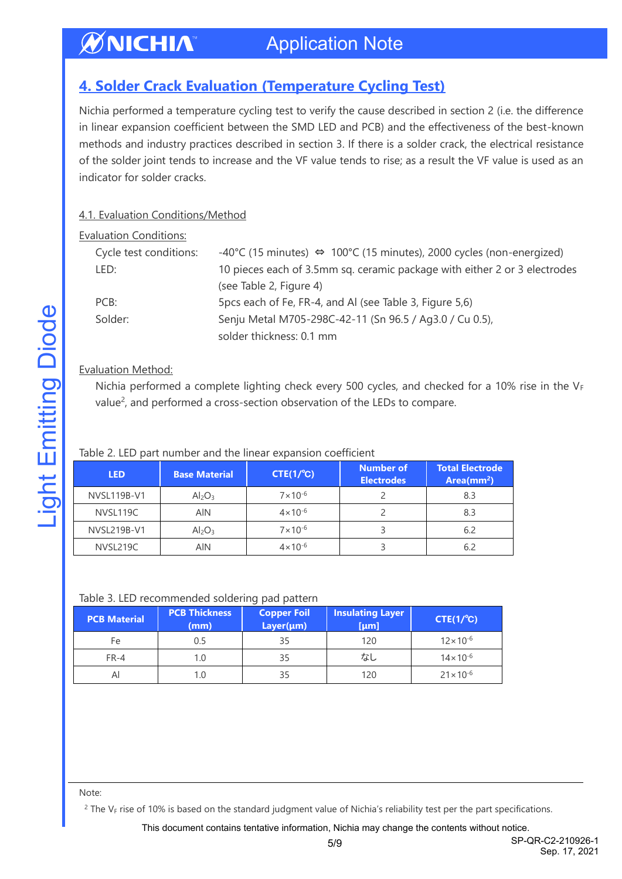#### ØNICHIA Application Note

### <span id="page-4-0"></span>**4. Solder Crack Evaluation (Temperature Cycling Test)**

Nichia performed a temperature cycling test to verify the cause described in section 2 (i.e. the difference in linear expansion coefficient between the SMD LED and PCB) and the effectiveness of the best-known methods and industry practices described in section 3. If there is a solder crack, the electrical resistance of the solder joint tends to increase and the VF value tends to rise; as a result the VF value is used as an indicator for solder cracks.

#### 4.1. Evaluation Conditions/Method

| <b>Evaluation Conditions:</b> |                                                                                      |
|-------------------------------|--------------------------------------------------------------------------------------|
| Cycle test conditions:        | -40°C (15 minutes) $\Leftrightarrow$ 100°C (15 minutes), 2000 cycles (non-energized) |
| LED:                          | 10 pieces each of 3.5mm sq. ceramic package with either 2 or 3 electrodes            |
|                               | (see Table 2, Figure 4)                                                              |
| PCB:                          | 5 pcs each of Fe, FR-4, and AI (see Table 3, Figure 5,6)                             |
| Solder:                       | Senju Metal M705-298C-42-11 (Sn 96.5 / Ag3.0 / Cu 0.5),                              |
|                               | solder thickness: 0.1 mm                                                             |
|                               |                                                                                      |

#### Evaluation Method:

Nichia performed a complete lighting check every 500 cycles, and checked for a 10% rise in the  $V_F$ value<sup>2</sup>, and performed a cross-section observation of the LEDs to compare.

#### Table 2. LED part number and the linear expansion coefficient

| <b>LED</b>  | <b>Base Material</b>           | $CTE(1/^{\circ}C)$ | <b>Number of</b><br><b>Electrodes</b> | <b>Total Electrode</b><br>Area(mm <sup>2</sup> ) |
|-------------|--------------------------------|--------------------|---------------------------------------|--------------------------------------------------|
| NVSL119B-V1 | Al <sub>2</sub> O <sub>3</sub> | $7 \times 10^{-6}$ |                                       | 8.3                                              |
| NVSL119C    | <b>AIN</b>                     | $4 \times 10^{-6}$ |                                       | 8.3                                              |
| NVSL219B-V1 | Al <sub>2</sub> O <sub>3</sub> | $7 \times 10^{-6}$ |                                       | 6.2                                              |
| NVSL219C    | <b>AIN</b>                     | $4 \times 10^{-6}$ |                                       | 6.2                                              |

#### Table 3. LED recommended soldering pad pattern

| <b>PCB Material</b> | <b>PCB Thickness</b><br>(mm) | <b>Copper Foil</b><br>$Layer(\mu m)$ | <b>Insulating Layer</b><br>[µm], | $CTE(1/^{\circ}C)$  |
|---------------------|------------------------------|--------------------------------------|----------------------------------|---------------------|
| Fe                  | 0.5                          | 35                                   | 120                              | $12 \times 10^{-6}$ |
| $FR-4$              | 1.0                          | 35                                   | なし                               | $14 \times 10^{-6}$ |
| Al                  | 1.0                          | 35                                   | 120                              | $21 \times 10^{-6}$ |

#### Note:

 $2$  The V<sub>F</sub> rise of 10% is based on the standard judgment value of Nichia's reliability test per the part specifications.

This document contains tentative information, Nichia may change the contents without notice.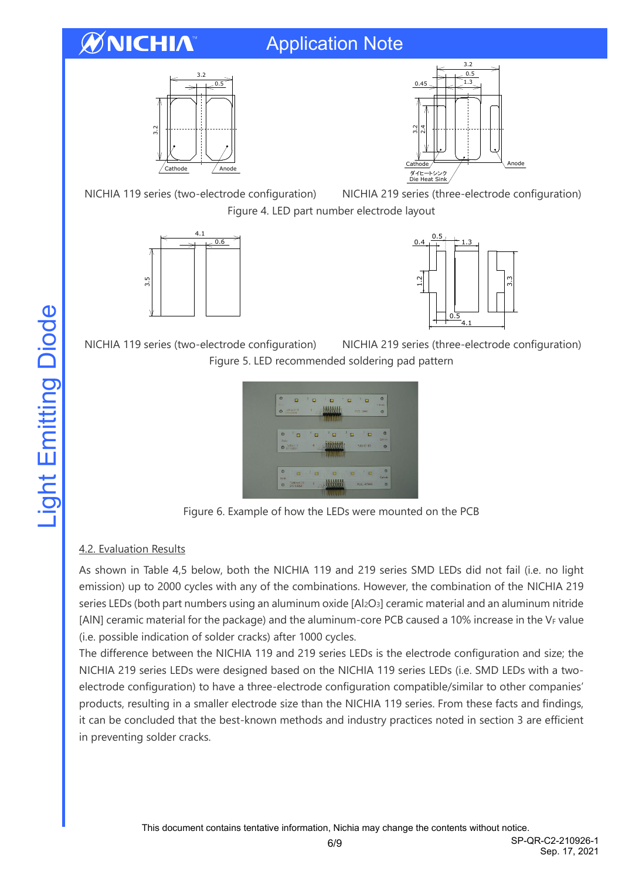# WNICHIA

## Application Note





Materials 内容 Description セラミックス Ceramics シリコーン樹脂 (蛍光体入り) Silicone Resin (with phosphor)

NICHIA 119 series (two-electrode configuration) NICHIA 219 series (three-electrode configuration) Figure 4. LED part number electrode layout





NICHIA 119 series (two-electrode configuration) NICHIA 219 series (three-electrode configuration) Figure 5. LED recommended soldering pad pattern



Figure 6. Example of how the LEDs were mounted on the PCB

#### 4.2. Evaluation Results

As shown in Table 4,5 below, both the NICHIA 119 and 219 series SMD LEDs did not fail (i.e. no light emission) up to 2000 cycles with any of the combinations. However, the combination of the NICHIA 219 series LEDs (both part numbers using an aluminum oxide [Al2O3] ceramic material and an aluminum nitride [AlN] ceramic material for the package) and the aluminum-core PCB caused a 10% increase in the VF value (i.e. possible indication of solder cracks) after 1000 cycles.

The difference between the NICHIA 119 and 219 series LEDs is the electrode configuration and size; the NICHIA 219 series LEDs were designed based on the NICHIA 119 series LEDs (i.e. SMD LEDs with a twoelectrode configuration) to have a three-electrode configuration compatible/similar to other companies' products, resulting in a smaller electrode size than the NICHIA 119 series. From these facts and findings, it can be concluded that the best-known methods and industry practices noted in section 3 are efficient in preventing solder cracks.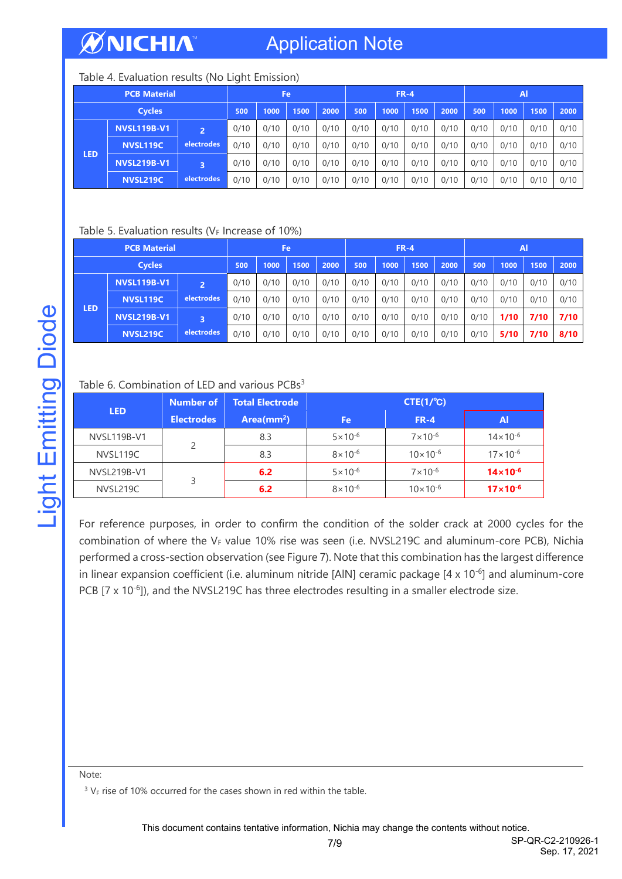## Application Note

#### Table 4. Evaluation results (No Light Emission)

| <b>PCB Material</b> |                    |                |      | Fe   |      |      | $FR-4$ |      |      | $\mathsf{A}$ |      |      |      |      |
|---------------------|--------------------|----------------|------|------|------|------|--------|------|------|--------------|------|------|------|------|
| <b>Cycles</b>       |                    | 500            | 1000 | 1500 | 2000 | 500  | 1000   | 1500 | 2000 | 500          | 1000 | 1500 | 2000 |      |
|                     | <b>NVSL119B-V1</b> | $\overline{2}$ | 0/10 | 0/10 | 0/10 | 0/10 | 0/10   | 0/10 | 0/10 | 0/10         | 0/10 | 0/10 | 0/10 | 0/10 |
| <b>LED</b>          | <b>NVSL119C</b>    | electrodes     | 0/10 | 0/10 | 0/10 | 0/10 | 0/10   | 0/10 | 0/10 | 0/10         | 0/10 | 0/10 | 0/10 | 0/10 |
|                     | NVSL219B-V1        | 3              | 0/10 | 0/10 | 0/10 | 0/10 | 0/10   | 0/10 | 0/10 | 0/10         | 0/10 | 0/10 | 0/10 | 0/10 |
|                     | <b>NVSL219C</b>    | electrodes     | 0/10 | 0/10 | 0/10 | 0/10 | 0/10   | 0/10 | 0/10 | 0/10         | 0/10 | 0/10 | 0/10 | 0/10 |

#### Table 5. Evaluation results ( $V_F$  Increase of 10%)

| <b>PCB Material</b> |                    | Fe             |      |      | $FR-4$ |      |      |      | <b>Al</b> |      |      |      |      |      |
|---------------------|--------------------|----------------|------|------|--------|------|------|------|-----------|------|------|------|------|------|
| <b>Cycles</b>       |                    | 500            | 1000 | 1500 | 2000   | 500  | 1000 | 1500 | 2000      | 500  | 1000 | 1500 | 2000 |      |
|                     | <b>NVSL119B-V1</b> | $\overline{2}$ | 0/10 | 0/10 | 0/10   | 0/10 | 0/10 | 0/10 | 0/10      | 0/10 | 0/10 | 0/10 | 0/10 | 0/10 |
| <b>LED</b>          | <b>NVSL119C</b>    | electrodes     | 0/10 | 0/10 | 0/10   | 0/10 | 0/10 | 0/10 | 0/10      | 0/10 | 0/10 | 0/10 | 0/10 | 0/10 |
|                     | <b>NVSL219B-V1</b> | 3              | 0/10 | 0/10 | 0/10   | 0/10 | 0/10 | 0/10 | 0/10      | 0/10 | 0/10 | 1/10 | 7/10 | 7/10 |
|                     | <b>NVSL219C</b>    | electrodes     | 0/10 | 0/10 | 0/10   | 0/10 | 0/10 | 0/10 | 0/10      | 0/10 | 0/10 | 5/10 | 7/10 | 8/10 |

#### Table 6. Combination of LED and various PCBs<sup>3</sup>

| <b>LED</b>    | <b>Number of</b>  | <b>Total Electrode</b> | $CTE(1/^{\circ}C)$  |                     |                     |  |  |  |  |  |
|---------------|-------------------|------------------------|---------------------|---------------------|---------------------|--|--|--|--|--|
|               | <b>Electrodes</b> | Area(mm <sup>2</sup> ) | Fe                  | $FR-4$              | Al                  |  |  |  |  |  |
| NVSL119B-V1   |                   | 8.3                    | $5 \times 10^{-6}$  | $7 \times 10^{-6}$  | $14 \times 10^{-6}$ |  |  |  |  |  |
| NVSL119C      | 2                 | 8.3                    | $8 \times 10^{-6}$  | $10 \times 10^{-6}$ | $17 \times 10^{-6}$ |  |  |  |  |  |
| NVSL219B-V1   |                   | 6.2                    | $5 \times 10^{-6}$  | $7 \times 10^{-6}$  | $14 \times 10^{-6}$ |  |  |  |  |  |
| 3<br>NVSL219C | 6.2               | $8 \times 10^{-6}$     | $10 \times 10^{-6}$ | $17 \times 10^{-6}$ |                     |  |  |  |  |  |

For reference purposes, in order to confirm the condition of the solder crack at 2000 cycles for the combination of where the VF value 10% rise was seen (i.e. NVSL219C and aluminum-core PCB), Nichia performed a cross-section observation (see Figure 7). Note that this combination has the largest difference in linear expansion coefficient (i.e. aluminum nitride [AIN] ceramic package [4 x 10<sup>-6</sup>] and aluminum-core PCB  $[7 \times 10^{-6}]$ ), and the NVSL219C has three electrodes resulting in a smaller electrode size.

Note:

 $3 V_F$  rise of 10% occurred for the cases shown in red within the table.

**Light Emitting Diode**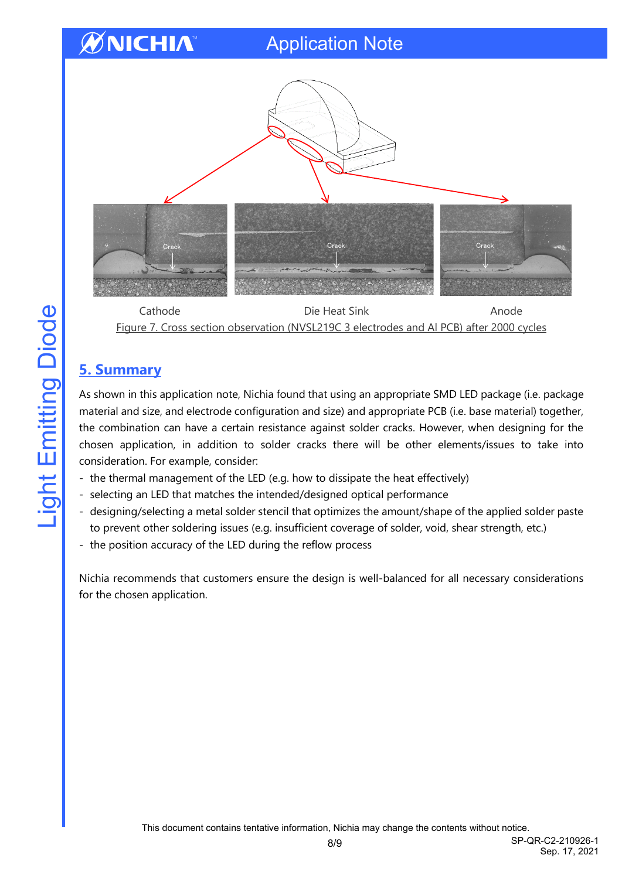## Application Note



Cathode Die Heat Sink Anode Figure 7. Cross section observation (NVSL219C 3 electrodes and Al PCB) after 2000 cycles

### <span id="page-7-0"></span>**5. Summary**

As shown in this application note, Nichia found that using an appropriate SMD LED package (i.e. package material and size, and electrode configuration and size) and appropriate PCB (i.e. base material) together, the combination can have a certain resistance against solder cracks. However, when designing for the chosen application, in addition to solder cracks there will be other elements/issues to take into consideration. For example, consider:

- the thermal management of the LED (e.g. how to dissipate the heat effectively)
- selecting an LED that matches the intended/designed optical performance
- designing/selecting a metal solder stencil that optimizes the amount/shape of the applied solder paste to prevent other soldering issues (e.g. insufficient coverage of solder, void, shear strength, etc.)
- the position accuracy of the LED during the reflow process

Nichia recommends that customers ensure the design is well-balanced for all necessary considerations for the chosen application.